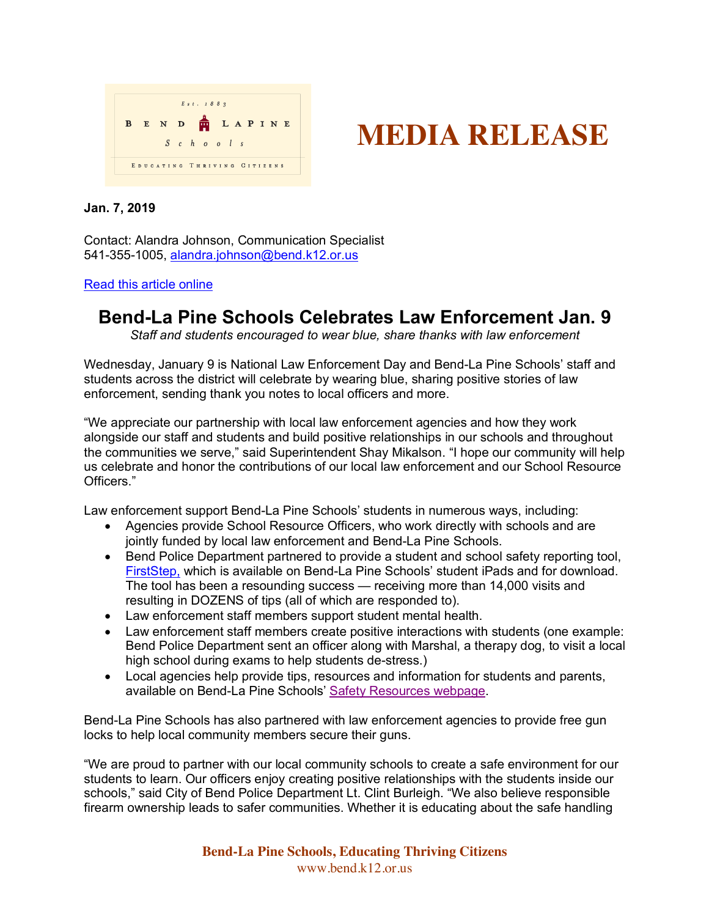



## **Jan. 7, 2019**

Contact: Alandra Johnson, Communication Specialist 541-355-1005, alandra.johnson@bend.k12.or.us

## Read this article online

## **Bend-La Pine Schools Celebrates Law Enforcement Jan. 9**

*Staff and students encouraged to wear blue, share thanks with law enforcement*

Wednesday, January 9 is National Law Enforcement Day and Bend-La Pine Schools' staff and students across the district will celebrate by wearing blue, sharing positive stories of law enforcement, sending thank you notes to local officers and more.

"We appreciate our partnership with local law enforcement agencies and how they work alongside our staff and students and build positive relationships in our schools and throughout the communities we serve," said Superintendent Shay Mikalson. "I hope our community will help us celebrate and honor the contributions of our local law enforcement and our School Resource Officers."

Law enforcement support Bend-La Pine Schools' students in numerous ways, including:

- Agencies provide School Resource Officers, who work directly with schools and are jointly funded by local law enforcement and Bend-La Pine Schools.
- Bend Police Department partnered to provide a student and school safety reporting tool, FirstStep, which is available on Bend-La Pine Schools' student iPads and for download. The tool has been a resounding success — receiving more than 14,000 visits and resulting in DOZENS of tips (all of which are responded to).
- Law enforcement staff members support student mental health.
- Law enforcement staff members create positive interactions with students (one example: Bend Police Department sent an officer along with Marshal, a therapy dog, to visit a local high school during exams to help students de-stress.)
- Local agencies help provide tips, resources and information for students and parents, available on Bend-La Pine Schools' Safety Resources webpage.

Bend-La Pine Schools has also partnered with law enforcement agencies to provide free gun locks to help local community members secure their guns.

"We are proud to partner with our local community schools to create a safe environment for our students to learn. Our officers enjoy creating positive relationships with the students inside our schools," said City of Bend Police Department Lt. Clint Burleigh. "We also believe responsible firearm ownership leads to safer communities. Whether it is educating about the safe handling